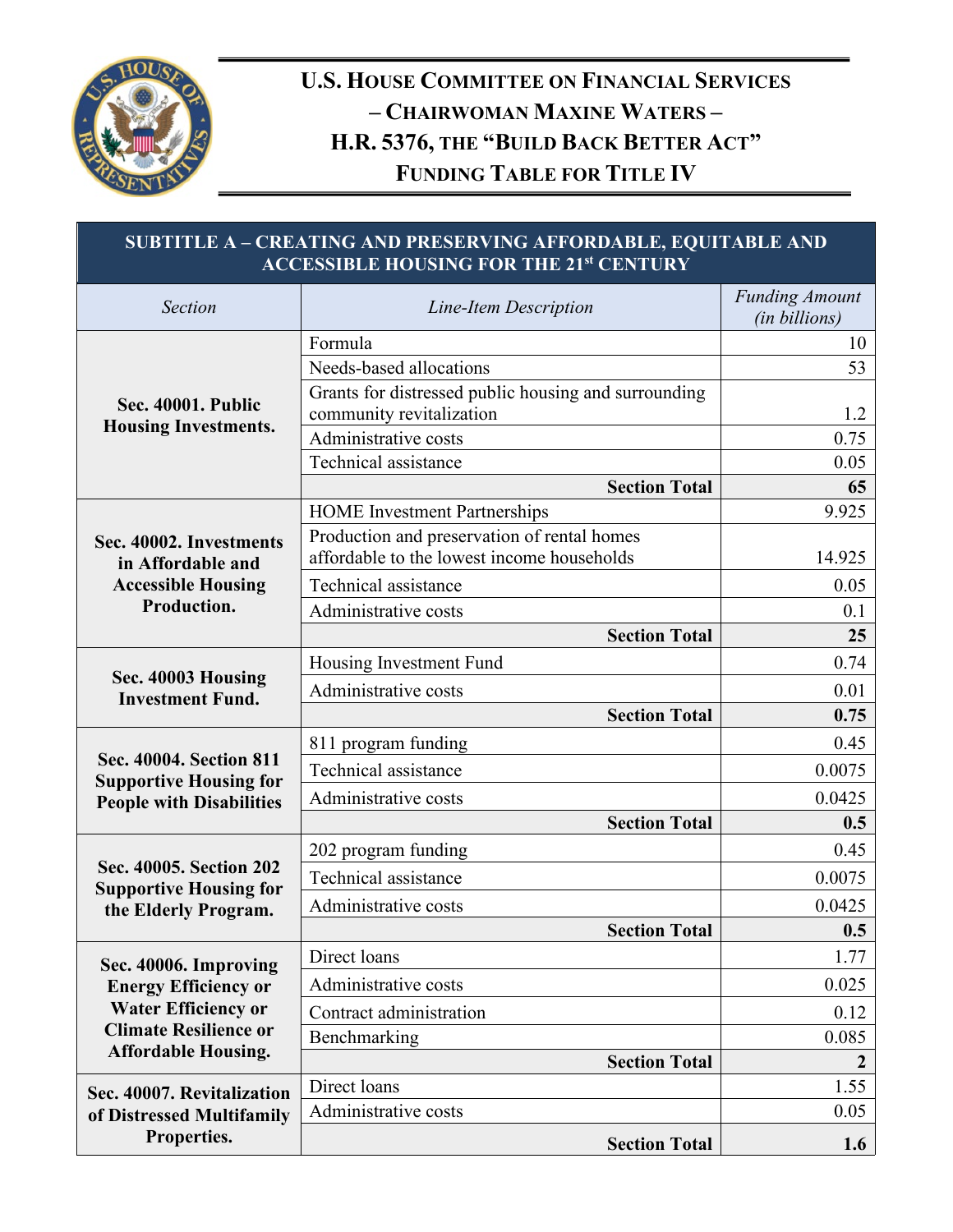

## **U.S. HOUSE COMMITTEE ON FINANCIAL SERVICES – CHAIRWOMAN MAXINE WATERS – H.R. 5376, THE "BUILD BACK BETTER ACT" FUNDING TABLE FOR TITLE IV**

| SUBTITLE A - CREATING AND PRESERVING AFFORDABLE, EQUITABLE AND<br><b>ACCESSIBLE HOUSING FOR THE 21st CENTURY</b> |                                                                                           |                                        |
|------------------------------------------------------------------------------------------------------------------|-------------------------------------------------------------------------------------------|----------------------------------------|
| <b>Section</b>                                                                                                   | Line-Item Description                                                                     | <b>Funding Amount</b><br>(in billions) |
|                                                                                                                  | Formula                                                                                   | 10                                     |
| <b>Sec. 40001. Public</b>                                                                                        | Needs-based allocations                                                                   | 53                                     |
|                                                                                                                  | Grants for distressed public housing and surrounding<br>community revitalization          | 1.2                                    |
| <b>Housing Investments.</b>                                                                                      | Administrative costs                                                                      | 0.75                                   |
|                                                                                                                  | Technical assistance                                                                      | 0.05                                   |
|                                                                                                                  | <b>Section Total</b>                                                                      | 65                                     |
|                                                                                                                  | <b>HOME</b> Investment Partnerships                                                       | 9.925                                  |
| Sec. 40002. Investments<br>in Affordable and                                                                     | Production and preservation of rental homes<br>affordable to the lowest income households | 14.925                                 |
| <b>Accessible Housing</b>                                                                                        | Technical assistance                                                                      | 0.05                                   |
| Production.                                                                                                      | Administrative costs                                                                      | 0.1                                    |
|                                                                                                                  | <b>Section Total</b>                                                                      | 25                                     |
|                                                                                                                  | Housing Investment Fund                                                                   | 0.74                                   |
| Sec. 40003 Housing<br><b>Investment Fund.</b>                                                                    | Administrative costs                                                                      | 0.01                                   |
|                                                                                                                  | <b>Section Total</b>                                                                      | 0.75                                   |
|                                                                                                                  | 811 program funding                                                                       | 0.45                                   |
| Sec. 40004. Section 811<br><b>Supportive Housing for</b>                                                         | Technical assistance                                                                      | 0.0075                                 |
| <b>People with Disabilities</b>                                                                                  | Administrative costs                                                                      | 0.0425                                 |
|                                                                                                                  | <b>Section Total</b>                                                                      | 0.5                                    |
|                                                                                                                  | 202 program funding                                                                       | 0.45                                   |
| Sec. 40005. Section 202<br><b>Supportive Housing for</b>                                                         | Technical assistance                                                                      | 0.0075                                 |
| the Elderly Program.                                                                                             | Administrative costs                                                                      | 0.0425                                 |
|                                                                                                                  | <b>Section Total</b>                                                                      | 0.5                                    |
| Sec. 40006. Improving                                                                                            | Direct loans                                                                              | 1.77                                   |
| <b>Energy Efficiency or</b><br><b>Water Efficiency or</b><br><b>Climate Resilience or</b>                        | Administrative costs                                                                      | 0.025                                  |
|                                                                                                                  | Contract administration                                                                   | 0.12                                   |
|                                                                                                                  | Benchmarking                                                                              | 0.085                                  |
| <b>Affordable Housing.</b>                                                                                       | <b>Section Total</b>                                                                      | $\boldsymbol{2}$                       |
| Sec. 40007. Revitalization                                                                                       | Direct loans                                                                              | 1.55                                   |
| of Distressed Multifamily<br>Properties.                                                                         | Administrative costs                                                                      | 0.05                                   |
|                                                                                                                  | <b>Section Total</b>                                                                      | 1.6                                    |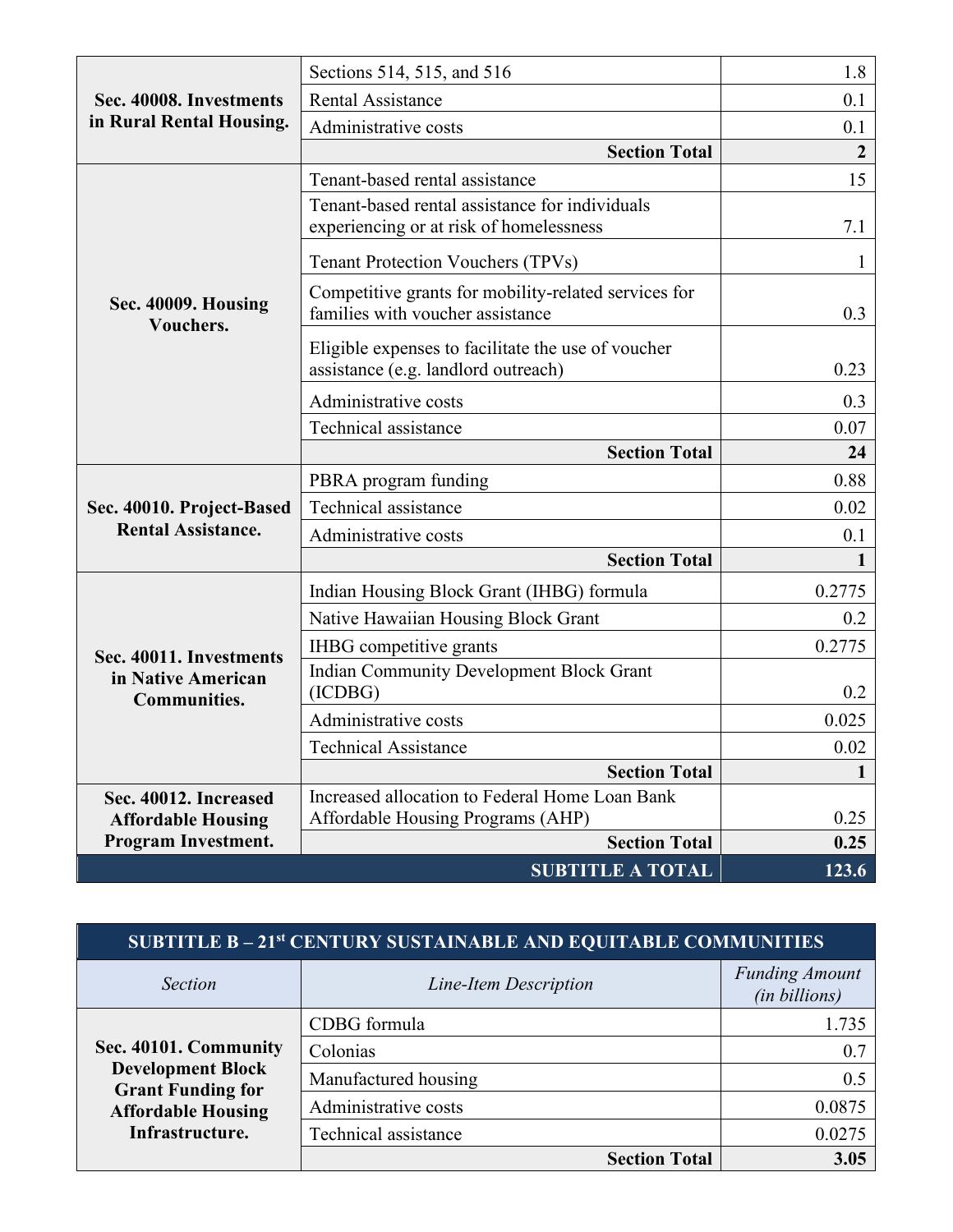| Sec. 40008. Investments<br>in Rural Rental Housing.    | Sections 514, 515, and 516                                                                | 1.8              |
|--------------------------------------------------------|-------------------------------------------------------------------------------------------|------------------|
|                                                        | <b>Rental Assistance</b>                                                                  | 0.1              |
|                                                        | Administrative costs                                                                      | 0.1              |
|                                                        | <b>Section Total</b>                                                                      | $\boldsymbol{2}$ |
|                                                        | Tenant-based rental assistance                                                            | 15               |
|                                                        | Tenant-based rental assistance for individuals<br>experiencing or at risk of homelessness | 7.1              |
|                                                        | <b>Tenant Protection Vouchers (TPVs)</b>                                                  | $\mathbf{1}$     |
| Sec. 40009. Housing<br>Vouchers.                       | Competitive grants for mobility-related services for<br>families with voucher assistance  | 0.3              |
|                                                        | Eligible expenses to facilitate the use of voucher<br>assistance (e.g. landlord outreach) | 0.23             |
|                                                        | Administrative costs                                                                      | 0.3              |
|                                                        | Technical assistance                                                                      | 0.07             |
|                                                        | <b>Section Total</b>                                                                      | 24               |
|                                                        | PBRA program funding                                                                      | 0.88             |
| Sec. 40010. Project-Based<br><b>Rental Assistance.</b> | Technical assistance                                                                      | 0.02             |
|                                                        | Administrative costs                                                                      | 0.1              |
|                                                        | <b>Section Total</b>                                                                      | 1                |
|                                                        | Indian Housing Block Grant (IHBG) formula                                                 | 0.2775           |
|                                                        | Native Hawaiian Housing Block Grant                                                       | 0.2              |
| Sec. 40011. Investments                                | IHBG competitive grants                                                                   | 0.2775           |
| in Native American<br><b>Communities.</b>              | <b>Indian Community Development Block Grant</b><br>(ICDBG)                                | 0.2              |
|                                                        | Administrative costs                                                                      | 0.025            |
|                                                        | <b>Technical Assistance</b>                                                               | 0.02             |
|                                                        | <b>Section Total</b>                                                                      | $\mathbf{1}$     |
| Sec. 40012. Increased<br><b>Affordable Housing</b>     | Increased allocation to Federal Home Loan Bank<br>Affordable Housing Programs (AHP)       | 0.25             |
| <b>Program Investment.</b>                             | <b>Section Total</b>                                                                      | 0.25             |
|                                                        | <b>SUBTITLE A TOTAL</b>                                                                   | 123.6            |

## **SUBTITLE B – 21st CENTURY SUSTAINABLE AND EQUITABLE COMMUNITIES**

| <i>Section</i>                                       | Line-Item Description | <b>Funding Amount</b><br>(in billions) |
|------------------------------------------------------|-----------------------|----------------------------------------|
|                                                      | CDBG formula          | 1.735                                  |
| Sec. 40101. Community                                | Colonias              | 0.7                                    |
| <b>Development Block</b><br><b>Grant Funding for</b> | Manufactured housing  | 0.5                                    |
| <b>Affordable Housing</b>                            | Administrative costs  | 0.0875                                 |
| Infrastructure.                                      | Technical assistance  | 0.0275                                 |
|                                                      | <b>Section Total</b>  | 3.05                                   |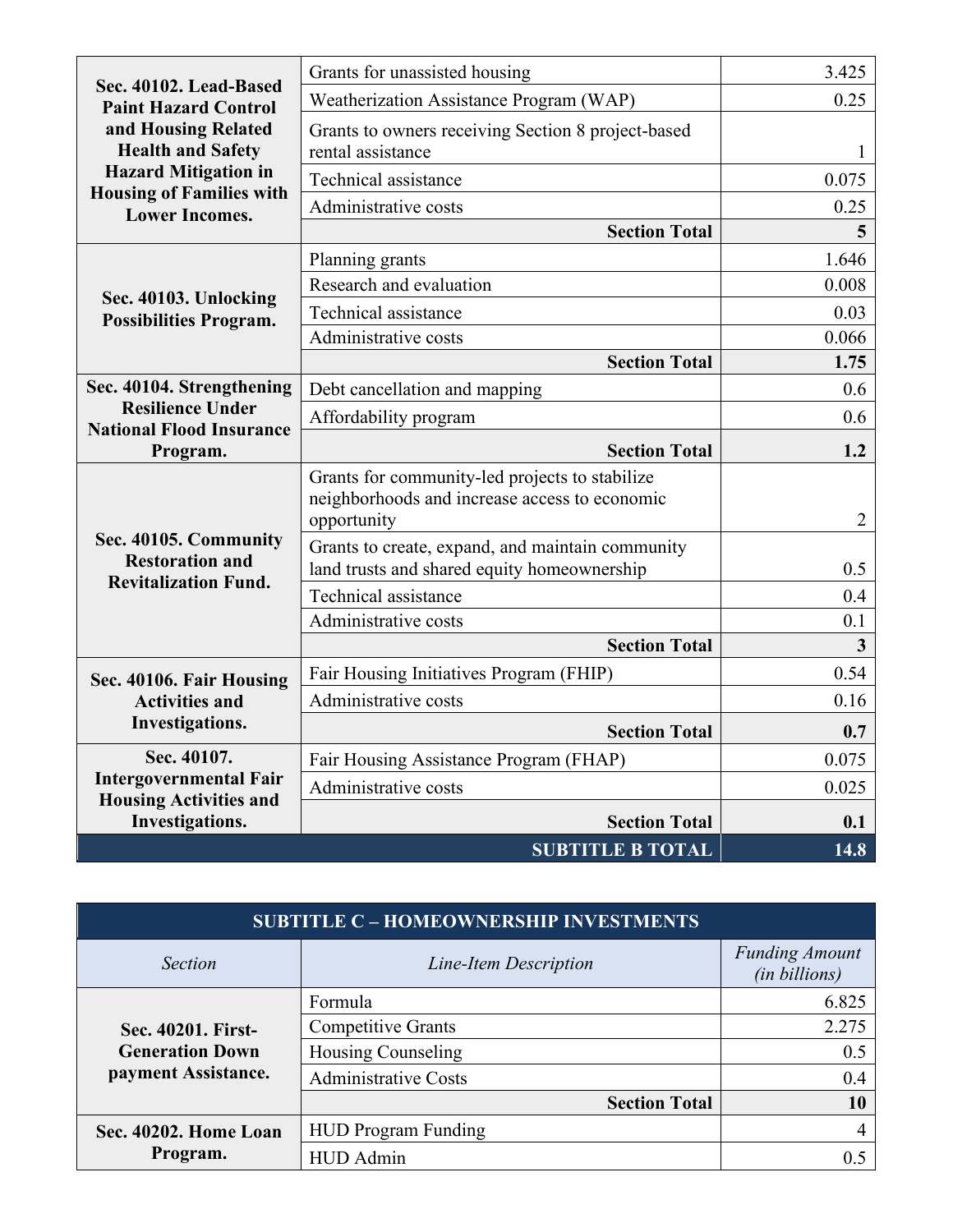| Sec. 40102. Lead-Based                                                            | Grants for unassisted housing                                                                                  | 3.425          |
|-----------------------------------------------------------------------------------|----------------------------------------------------------------------------------------------------------------|----------------|
| <b>Paint Hazard Control</b><br>and Housing Related<br><b>Health and Safety</b>    | Weatherization Assistance Program (WAP)                                                                        | 0.25           |
|                                                                                   | Grants to owners receiving Section 8 project-based<br>rental assistance                                        | $\mathbf{1}$   |
| <b>Hazard Mitigation in</b>                                                       | Technical assistance                                                                                           | 0.075          |
| <b>Housing of Families with</b><br><b>Lower Incomes.</b>                          | Administrative costs                                                                                           | 0.25           |
|                                                                                   | <b>Section Total</b>                                                                                           | 5              |
|                                                                                   | Planning grants                                                                                                | 1.646          |
|                                                                                   | Research and evaluation                                                                                        | 0.008          |
| Sec. 40103. Unlocking<br><b>Possibilities Program.</b>                            | Technical assistance                                                                                           | 0.03           |
|                                                                                   | Administrative costs                                                                                           | 0.066          |
|                                                                                   | <b>Section Total</b>                                                                                           | 1.75           |
| Sec. 40104. Strengthening                                                         | Debt cancellation and mapping                                                                                  | 0.6            |
| <b>Resilience Under</b><br><b>National Flood Insurance</b>                        | Affordability program                                                                                          | 0.6            |
| Program.                                                                          | <b>Section Total</b>                                                                                           | 1.2            |
|                                                                                   | Grants for community-led projects to stabilize<br>neighborhoods and increase access to economic<br>opportunity | $\overline{2}$ |
| Sec. 40105. Community<br><b>Restoration and</b>                                   | Grants to create, expand, and maintain community<br>land trusts and shared equity homeownership                | 0.5            |
| <b>Revitalization Fund.</b>                                                       | Technical assistance                                                                                           | 0.4            |
|                                                                                   | Administrative costs                                                                                           | 0.1            |
|                                                                                   | <b>Section Total</b>                                                                                           | $\overline{3}$ |
| Sec. 40106. Fair Housing                                                          | Fair Housing Initiatives Program (FHIP)                                                                        | 0.54           |
| <b>Activities and</b>                                                             | Administrative costs                                                                                           | 0.16           |
| <b>Investigations.</b>                                                            | <b>Section Total</b>                                                                                           | 0.7            |
| Sec. 40107.                                                                       | Fair Housing Assistance Program (FHAP)                                                                         | 0.075          |
| <b>Intergovernmental Fair</b><br><b>Housing Activities and</b><br>Investigations. | Administrative costs                                                                                           | 0.025          |
|                                                                                   | <b>Section Total</b>                                                                                           | 0.1            |
|                                                                                   | <b>SUBTITLE B TOTAL</b>                                                                                        | 14.8           |

| <b>SUBTITLE C - HOMEOWNERSHIP INVESTMENTS</b>                       |                             |                                        |
|---------------------------------------------------------------------|-----------------------------|----------------------------------------|
| <b>Section</b>                                                      | Line-Item Description       | <b>Funding Amount</b><br>(in billions) |
| Sec. 40201. First-<br><b>Generation Down</b><br>payment Assistance. | Formula                     | 6.825                                  |
|                                                                     | <b>Competitive Grants</b>   | 2.275                                  |
|                                                                     | <b>Housing Counseling</b>   | 0.5                                    |
|                                                                     | <b>Administrative Costs</b> | 0.4                                    |
|                                                                     | <b>Section Total</b>        | 10                                     |
| Sec. 40202. Home Loan<br>Program.                                   | <b>HUD Program Funding</b>  | 4                                      |
|                                                                     | HUD Admin                   |                                        |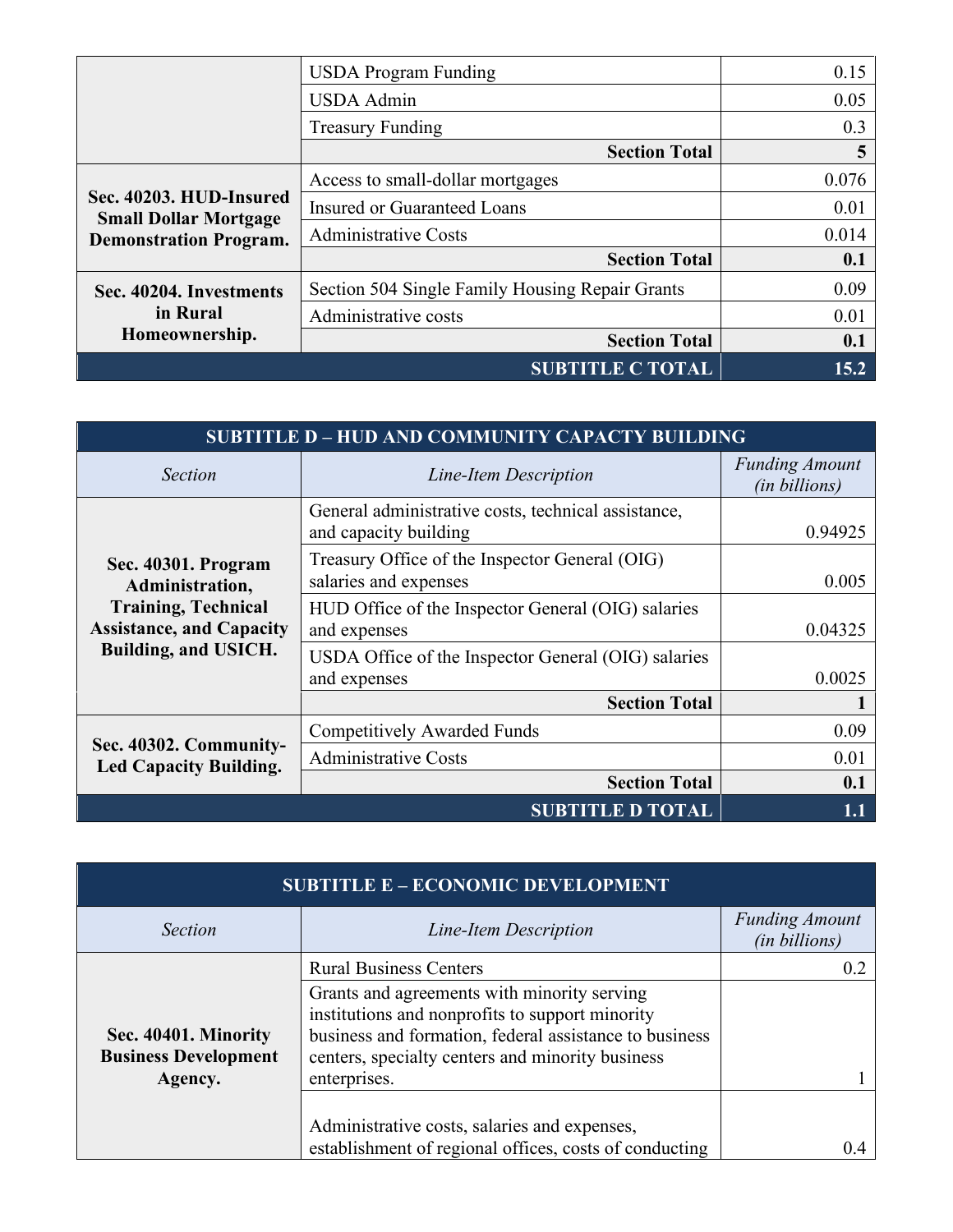|                                                                                          | <b>USDA</b> Program Funding                     | 0.15  |
|------------------------------------------------------------------------------------------|-------------------------------------------------|-------|
|                                                                                          | <b>USDA</b> Admin                               | 0.05  |
|                                                                                          | <b>Treasury Funding</b>                         | 0.3   |
|                                                                                          | <b>Section Total</b>                            | 5     |
|                                                                                          | Access to small-dollar mortgages                | 0.076 |
| Sec. 40203. HUD-Insured<br><b>Small Dollar Mortgage</b><br><b>Demonstration Program.</b> | <b>Insured or Guaranteed Loans</b>              | 0.01  |
|                                                                                          | <b>Administrative Costs</b>                     | 0.014 |
|                                                                                          | <b>Section Total</b>                            | 0.1   |
| Sec. 40204. Investments                                                                  | Section 504 Single Family Housing Repair Grants | 0.09  |
| in Rural<br>Homeownership.                                                               | Administrative costs                            | 0.01  |
|                                                                                          | <b>Section Total</b>                            | 0.1   |
|                                                                                          | <b>SUBTITLE C TOTAL</b>                         | 15.2  |

| <b>SUBTITLE D - HUD AND COMMUNITY CAPACTY BUILDING</b>                                                                                 |                                                                              |                                               |
|----------------------------------------------------------------------------------------------------------------------------------------|------------------------------------------------------------------------------|-----------------------------------------------|
| <i>Section</i>                                                                                                                         | Line-Item Description                                                        | <b>Funding Amount</b><br><i>(in billions)</i> |
|                                                                                                                                        | General administrative costs, technical assistance,<br>and capacity building | 0.94925                                       |
| Sec. 40301. Program<br>Administration,<br><b>Training, Technical</b><br><b>Assistance, and Capacity</b><br><b>Building, and USICH.</b> | Treasury Office of the Inspector General (OIG)<br>salaries and expenses      | 0.005                                         |
|                                                                                                                                        | HUD Office of the Inspector General (OIG) salaries<br>and expenses           | 0.04325                                       |
|                                                                                                                                        | USDA Office of the Inspector General (OIG) salaries<br>and expenses          | 0.0025                                        |
|                                                                                                                                        | <b>Section Total</b>                                                         |                                               |
| Sec. 40302. Community-<br><b>Led Capacity Building.</b>                                                                                | <b>Competitively Awarded Funds</b>                                           | 0.09                                          |
|                                                                                                                                        | <b>Administrative Costs</b>                                                  | 0.01                                          |
|                                                                                                                                        | <b>Section Total</b>                                                         | 0.1                                           |
|                                                                                                                                        | <b>SUBTITLE D TOTAL</b>                                                      | $1.1\,$                                       |

| <b>SUBTITLE E - ECONOMIC DEVELOPMENT</b>                       |                                                                                                                                                                                                                              |                                               |
|----------------------------------------------------------------|------------------------------------------------------------------------------------------------------------------------------------------------------------------------------------------------------------------------------|-----------------------------------------------|
| <b>Section</b>                                                 | Line-Item Description                                                                                                                                                                                                        | <b>Funding Amount</b><br><i>(in billions)</i> |
|                                                                | <b>Rural Business Centers</b>                                                                                                                                                                                                |                                               |
| Sec. 40401. Minority<br><b>Business Development</b><br>Agency. | Grants and agreements with minority serving<br>institutions and nonprofits to support minority<br>business and formation, federal assistance to business<br>centers, specialty centers and minority business<br>enterprises. |                                               |
|                                                                | Administrative costs, salaries and expenses,                                                                                                                                                                                 |                                               |
|                                                                | establishment of regional offices, costs of conducting                                                                                                                                                                       |                                               |